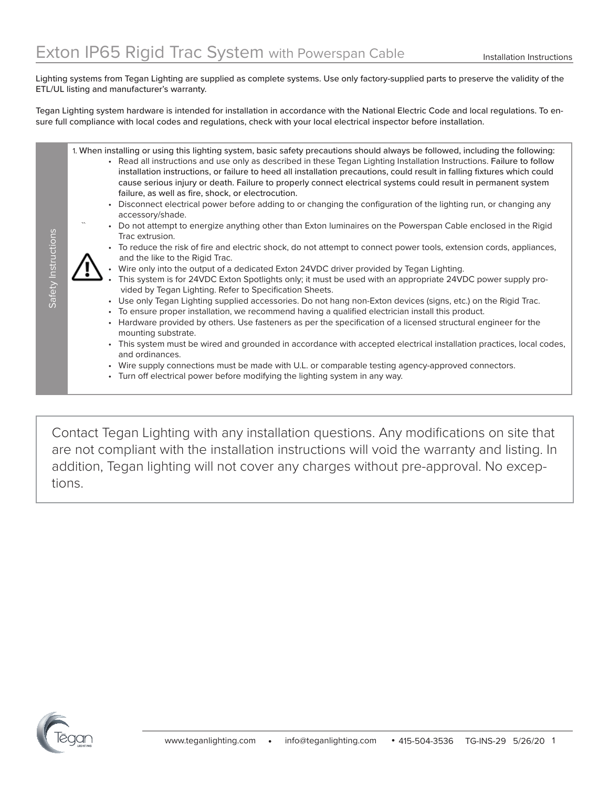Lighting systems from Tegan Lighting are supplied as complete systems. Use only factory-supplied parts to preserve the validity of the ETL/UL listing and manufacturer's warranty.

Tegan Lighting system hardware is intended for installation in accordance with the National Electric Code and local regulations. To ensure full compliance with local codes and regulations, check with your local electrical inspector before installation.

| Safety Instructions | 1. When installing or using this lighting system, basic safety precautions should always be followed, including the following:<br>• Read all instructions and use only as described in these Tegan Lighting Installation Instructions. Failure to follow<br>installation instructions, or failure to heed all installation precautions, could result in falling fixtures which could<br>cause serious injury or death. Failure to properly connect electrical systems could result in permanent system<br>failure, as well as fire, shock, or electrocution.<br>• Disconnect electrical power before adding to or changing the configuration of the lighting run, or changing any<br>accessory/shade.<br>$\checkmark$<br>• Do not attempt to energize anything other than Exton luminaires on the Powerspan Cable enclosed in the Rigid<br>Trac extrusion.<br>• To reduce the risk of fire and electric shock, do not attempt to connect power tools, extension cords, appliances,<br>and the like to the Rigid Trac.<br>Wire only into the output of a dedicated Exton 24VDC driver provided by Tegan Lighting.<br>This system is for 24VDC Exton Spotlights only; it must be used with an appropriate 24VDC power supply pro-<br>vided by Tegan Lighting. Refer to Specification Sheets.<br>• Use only Tegan Lighting supplied accessories. Do not hang non-Exton devices (signs, etc.) on the Rigid Trac.<br>• To ensure proper installation, we recommend having a qualified electrician install this product.<br>• Hardware provided by others. Use fasteners as per the specification of a licensed structural engineer for the<br>mounting substrate.<br>This system must be wired and grounded in accordance with accepted electrical installation practices, local codes,<br>and ordinances.<br>• Wire supply connections must be made with U.L. or comparable testing agency-approved connectors.<br>• Turn off electrical power before modifying the lighting system in any way. |
|---------------------|---------------------------------------------------------------------------------------------------------------------------------------------------------------------------------------------------------------------------------------------------------------------------------------------------------------------------------------------------------------------------------------------------------------------------------------------------------------------------------------------------------------------------------------------------------------------------------------------------------------------------------------------------------------------------------------------------------------------------------------------------------------------------------------------------------------------------------------------------------------------------------------------------------------------------------------------------------------------------------------------------------------------------------------------------------------------------------------------------------------------------------------------------------------------------------------------------------------------------------------------------------------------------------------------------------------------------------------------------------------------------------------------------------------------------------------------------------------------------------------------------------------------------------------------------------------------------------------------------------------------------------------------------------------------------------------------------------------------------------------------------------------------------------------------------------------------------------------------------------------------------------------------------------------------------------------------------------------------------------------------|
|                     |                                                                                                                                                                                                                                                                                                                                                                                                                                                                                                                                                                                                                                                                                                                                                                                                                                                                                                                                                                                                                                                                                                                                                                                                                                                                                                                                                                                                                                                                                                                                                                                                                                                                                                                                                                                                                                                                                                                                                                                             |

Contact Tegan Lighting with any installation questions. Any modifications on site that are not compliant with the installation instructions will void the warranty and listing. In addition, Tegan lighting will not cover any charges without pre-approval. No exceptions.

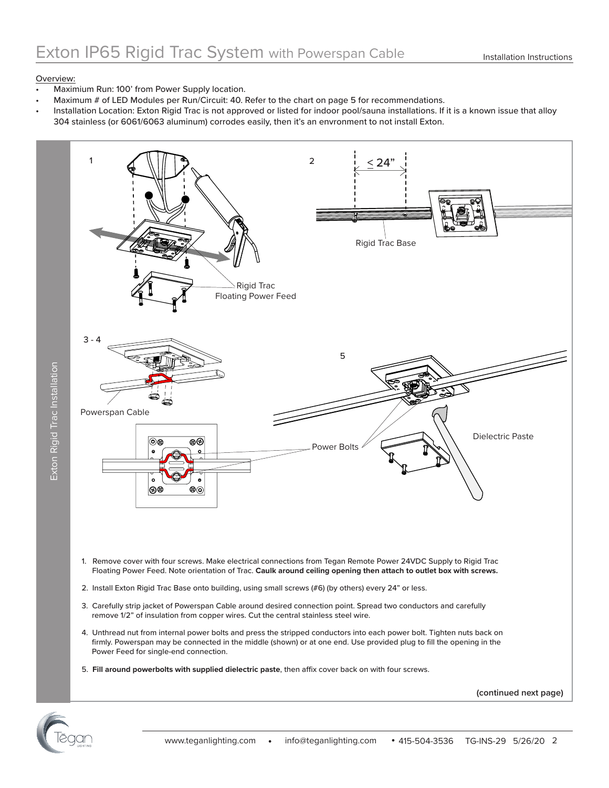### Overview:

Exton Rigid Trac Installation

Exton Rigid Trac Installation

- Maximium Run: 100' from Power Supply location.
- Maximum # of LED Modules per Run/Circuit: 40. Refer to the chart on page 5 for recommendations.
- Installation Location: Exton Rigid Trac is not approved or listed for indoor pool/sauna installations. If it is a known issue that alloy 304 stainless (or 6061/6063 aluminum) corrodes easily, then it's an envronment to not install Exton.



415-504-3536 5. **Fill around powerbolts with supplied dielectric paste**, then affix cover back on with four screws.

**(continued next page)**

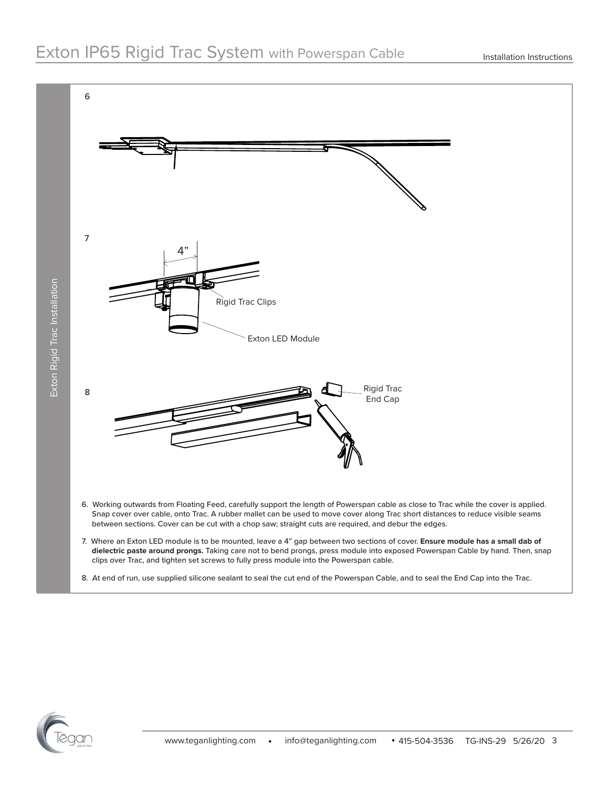





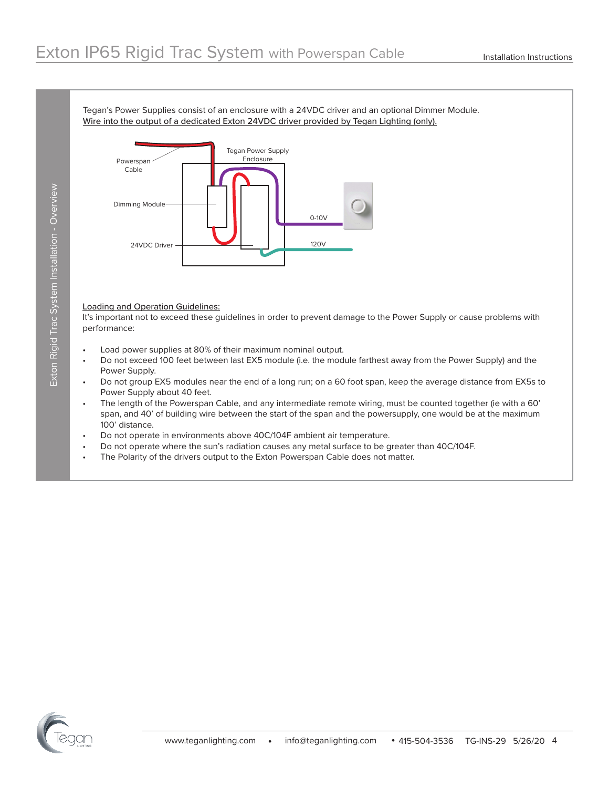Tegan's Power Supplies consist of an enclosure with a 24VDC driver and an optional Dimmer Module. Wire into the output of a dedicated Exton 24VDC driver provided by Tegan Lighting (only).



#### Loading and Operation Guidelines:

It's important not to exceed these guidelines in order to prevent damage to the Power Supply or cause problems with performance:

- Load power supplies at 80% of their maximum nominal output.
- Do not exceed 100 feet between last EX5 module (i.e. the module farthest away from the Power Supply) and the Power Supply.
- Do not group EX5 modules near the end of a long run; on a 60 foot span, keep the average distance from EX5s to Power Supply about 40 feet.
- The length of the Powerspan Cable, and any intermediate remote wiring, must be counted together (ie with a 60' span, and 40' of building wire between the start of the span and the powersupply, one would be at the maximum 100' distance.
- Do not operate in environments above 40C/104F ambient air temperature.
- Do not operate where the sun's radiation causes any metal surface to be greater than 40C/104F.
- The Polarity of the drivers output to the Exton Powerspan Cable does not matter.



POWER SUPPLY INSTALLATION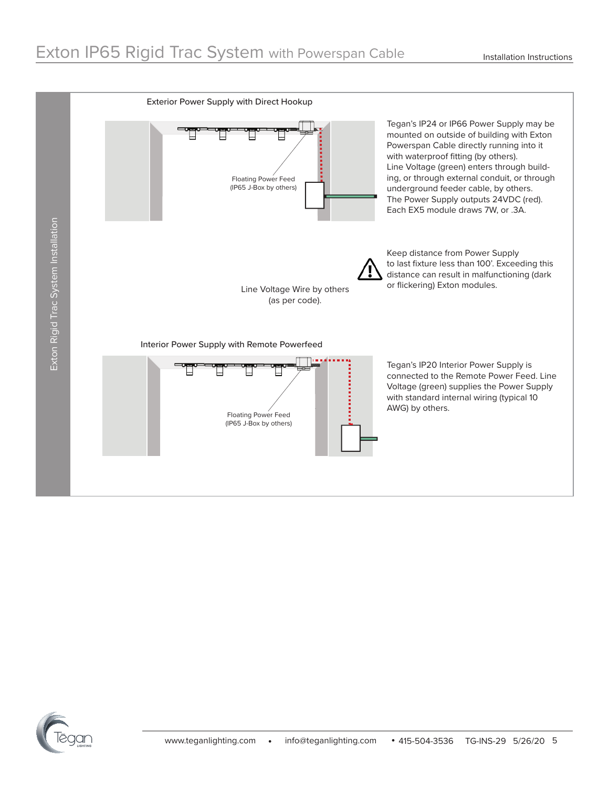

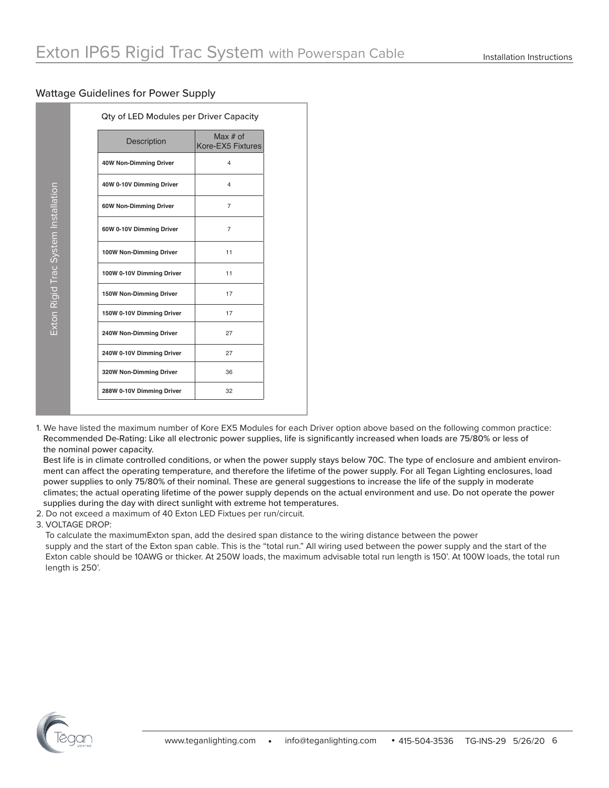### Wattage Guidelines for Power Supply

| Description               | Max $#$ of<br>Kore-EX5 Fixtures |
|---------------------------|---------------------------------|
| 40W Non-Dimming Driver    | 4                               |
| 40W 0-10V Dimming Driver  | 4                               |
| 60W Non-Dimming Driver    | $\overline{7}$                  |
| 60W 0-10V Dimming Driver  | 7                               |
| 100W Non-Dimming Driver   | 11                              |
| 100W 0-10V Dimming Driver | 11                              |
| 150W Non-Dimming Driver   | 17                              |
| 150W 0-10V Dimming Driver | 17                              |
| 240W Non-Dimming Driver   | 27                              |
| 240W 0-10V Dimming Driver | 27                              |
| 320W Non-Dimming Driver   | 36                              |
| 288W 0-10V Dimming Driver | 32                              |

1. We have listed the maximum number of Kore EX5 Modules for each Driver option above based on the following common practice: Recommended De-Rating: Like all electronic power supplies, life is significantly increased when loads are 75/80% or less of the nominal power capacity.

 Best life is in climate controlled conditions, or when the power supply stays below 70C. The type of enclosure and ambient environ ment can affect the operating temperature, and therefore the lifetime of the power supply. For all Tegan Lighting enclosures, load power supplies to only 75/80% of their nominal. These are general suggestions to increase the life of the supply in moderate climates; the actual operating lifetime of the power supply depends on the actual environment and use. Do not operate the power supplies during the day with direct sunlight with extreme hot temperatures.

2. Do not exceed a maximum of 40 Exton LED Fixtues per run/circuit.

3. VOLTAGE DROP:

 To calculate the maximumExton span, add the desired span distance to the wiring distance between the power supply and the start of the Exton span cable. This is the "total run." All wiring used between the power supply and the start of the Exton cable should be 10AWG or thicker. At 250W loads, the maximum advisable total run length is 150'. At 100W loads, the total run length is 250'.

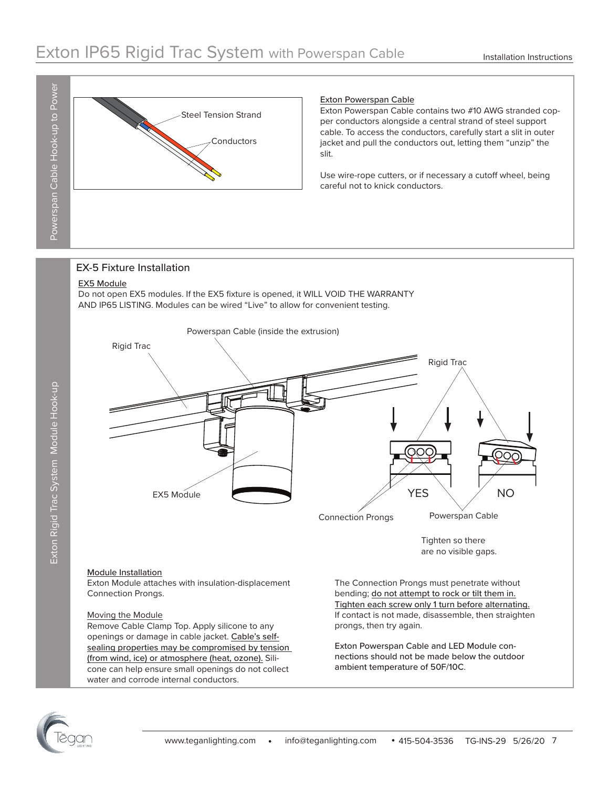Powerspan Cable Hook-up to Power Powerspan Cable Hook-up to Power



#### Exton Powerspan Cable

Exton Powerspan Cable contains two #10 AWG stranded copper conductors alongside a central strand of steel support cable. To access the conductors, carefully start a slit in outer jacket and pull the conductors out, letting them "unzip" the slit.

Use wire-rope cutters, or if necessary a cutoff wheel, being careful not to knick conductors.

### EX-5 Fixture Installation

### EX5 Module

Do not open EX5 modules. If the EX5 fixture is opened, it WILL VOID THE WARRANTY AND IP65 LISTING. Modules can be wired "Live" to allow for convenient testing.

Connection Prongs EX5 Module Version of the VES NO Rigid Trac Powerspan Cable Powerspan Cable (inside the extrusion) Rigid Trac

> Tighten so there are no visible gaps.

#### Module Installation

Exton Module attaches with insulation-displacement Connection Prongs.

#### Moving the Module

415-504-3536 Remove Cable Clamp Top. Apply silicone to any openings or damage in cable jacket. Cable's selfsealing properties may be compromised by tension (from wind, ice) or atmosphere (heat, ozone). Silicone can help ensure small openings do not collect water and corrode internal conductors.

The Connection Prongs must penetrate without bending; do not attempt to rock or tilt them in. Tighten each screw only 1 turn before alternating. If contact is not made, disassemble, then straighten prongs, then try again.

Exton Powerspan Cable and LED Module connections should not be made below the outdoor ambient temperature of 50F/10C.

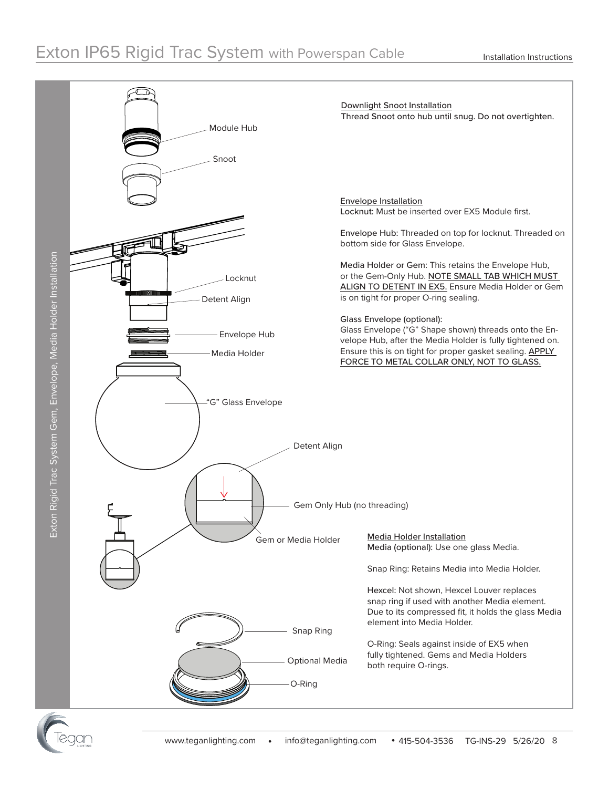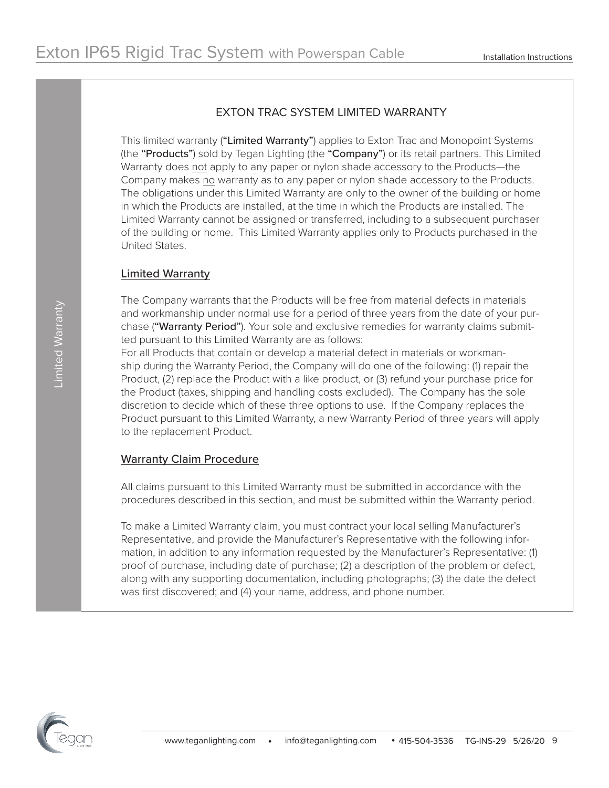# EXTON TRAC SYSTEM LIMITED WARRANTY

This limited warranty ("Limited Warranty") applies to Exton Trac and Monopoint Systems (the "Products") sold by Tegan Lighting (the "Company") or its retail partners. This Limited Warranty does not apply to any paper or nylon shade accessory to the Products—the Company makes no warranty as to any paper or nylon shade accessory to the Products. The obligations under this Limited Warranty are only to the owner of the building or home in which the Products are installed, at the time in which the Products are installed. The Limited Warranty cannot be assigned or transferred, including to a subsequent purchaser of the building or home. This Limited Warranty applies only to Products purchased in the United States.

## Limited Warranty

The Company warrants that the Products will be free from material defects in materials and workmanship under normal use for a period of three years from the date of your purchase ("Warranty Period"). Your sole and exclusive remedies for warranty claims submitted pursuant to this Limited Warranty are as follows:

For all Products that contain or develop a material defect in materials or workmanship during the Warranty Period, the Company will do one of the following: (1) repair the Product, (2) replace the Product with a like product, or (3) refund your purchase price for the Product (taxes, shipping and handling costs excluded). The Company has the sole discretion to decide which of these three options to use. If the Company replaces the Product pursuant to this Limited Warranty, a new Warranty Period of three years will apply to the replacement Product.

## Warranty Claim Procedure

All claims pursuant to this Limited Warranty must be submitted in accordance with the procedures described in this section, and must be submitted within the Warranty period.

To make a Limited Warranty claim, you must contract your local selling Manufacturer's Representative, and provide the Manufacturer's Representative with the following information, in addition to any information requested by the Manufacturer's Representative: (1) proof of purchase, including date of purchase; (2) a description of the problem or defect, along with any supporting documentation, including photographs; (3) the date the defect was first discovered; and (4) your name, address, and phone number.



Limited Warranty Limited Warranty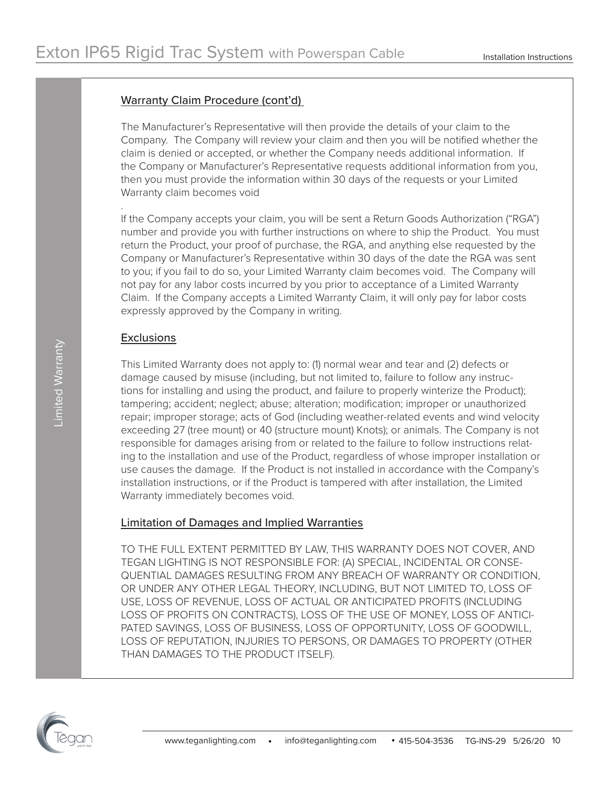### Warranty Claim Procedure (cont'd)

The Manufacturer's Representative will then provide the details of your claim to the Company. The Company will review your claim and then you will be notified whether the claim is denied or accepted, or whether the Company needs additional information. If the Company or Manufacturer's Representative requests additional information from you, then you must provide the information within 30 days of the requests or your Limited Warranty claim becomes void

If the Company accepts your claim, you will be sent a Return Goods Authorization ("RGA") number and provide you with further instructions on where to ship the Product. You must return the Product, your proof of purchase, the RGA, and anything else requested by the Company or Manufacturer's Representative within 30 days of the date the RGA was sent to you; if you fail to do so, your Limited Warranty claim becomes void. The Company will not pay for any labor costs incurred by you prior to acceptance of a Limited Warranty Claim. If the Company accepts a Limited Warranty Claim, it will only pay for labor costs expressly approved by the Company in writing.

### **Exclusions**

.

This Limited Warranty does not apply to: (1) normal wear and tear and (2) defects or damage caused by misuse (including, but not limited to, failure to follow any instructions for installing and using the product, and failure to properly winterize the Product); tampering; accident; neglect; abuse; alteration; modification; improper or unauthorized repair; improper storage; acts of God (including weather-related events and wind velocity exceeding 27 (tree mount) or 40 (structure mount) Knots); or animals. The Company is not responsible for damages arising from or related to the failure to follow instructions relating to the installation and use of the Product, regardless of whose improper installation or use causes the damage. If the Product is not installed in accordance with the Company's installation instructions, or if the Product is tampered with after installation, the Limited Warranty immediately becomes void.

## Limitation of Damages and Implied Warranties

TO THE FULL EXTENT PERMITTED BY LAW, THIS WARRANTY DOES NOT COVER, AND TEGAN LIGHTING IS NOT RESPONSIBLE FOR: (A) SPECIAL, INCIDENTAL OR CONSE-QUENTIAL DAMAGES RESULTING FROM ANY BREACH OF WARRANTY OR CONDITION, OR UNDER ANY OTHER LEGAL THEORY, INCLUDING, BUT NOT LIMITED TO, LOSS OF USE, LOSS OF REVENUE, LOSS OF ACTUAL OR ANTICIPATED PROFITS (INCLUDING LOSS OF PROFITS ON CONTRACTS), LOSS OF THE USE OF MONEY, LOSS OF ANTICI-PATED SAVINGS, LOSS OF BUSINESS, LOSS OF OPPORTUNITY, LOSS OF GOODWILL, LOSS OF REPUTATION, INJURIES TO PERSONS, OR DAMAGES TO PROPERTY (OTHER THAN DAMAGES TO THE PRODUCT ITSELF).



415-504-3536